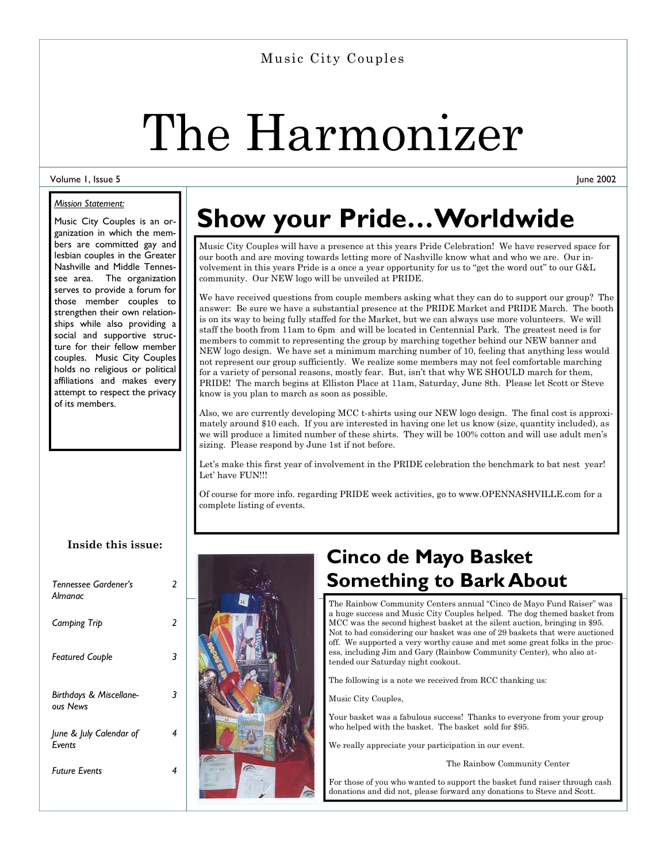### Music City Couples

# The Harmonizer

#### Volume 1, Issue 5

#### *Mission Statement:*

Music City Couples is an organization in which the members are committed gay and lesbian couples in the Greater Nashville and Middle Tennessee area. The organization serves to provide a forum for those member couples to strengthen their own relationships while also providing a social and supportive structure for their fellow member couples. Music City Couples holds no religious or political affiliations and makes every attempt to respect the privacy of its members.

# **Show your Pride…Worldwide**

Music City Couples will have a presence at this years Pride Celebration! We have reserved space for our booth and are moving towards letting more of Nashville know what and who we are. Our involvement in this years Pride is a once a year opportunity for us to "get the word out" to our G&L community. Our NEW logo will be unveiled at PRIDE.

We have received questions from couple members asking what they can do to support our group? The answer: Be sure we have a substantial presence at the PRIDE Market and PRIDE March. The booth is on its way to being fully staffed for the Market, but we can always use more volunteers. We will staff the booth from 11am to 6pm and will be located in Centennial Park. The greatest need is for members to commit to representing the group by marching together behind our NEW banner and NEW logo design. We have set a minimum marching number of 10, feeling that anything less would not represent our group sufficiently. We realize some members may not feel comfortable marching for a variety of personal reasons, mostly fear. But, isn't that why WE SHOULD march for them, PRIDE! The march begins at Elliston Place at 11am, Saturday, June 8th. Please let Scott or Steve know is you plan to march as soon as possible.

Also, we are currently developing MCC t-shirts using our NEW logo design. The final cost is approximately around \$10 each. If you are interested in having one let us know (size, quantity included), as we will produce a limited number of these shirts. They will be 100% cotton and will use adult men's sizing. Please respond by June 1st if not before.

Let's make this first year of involvement in the PRIDE celebration the benchmark to bat nest year! Let' have FUN!!!

Of course for more info. regarding PRIDE week activities, go to www.OPENNASHVILLE.com for a complete listing of events.

#### **Inside this issue:**

| Tennessee Gardener's<br>Almanac     | 2 |  |
|-------------------------------------|---|--|
| Camping Trip                        | 2 |  |
| <b>Featured Couple</b>              | 3 |  |
|                                     |   |  |
| Birthdays & Miscellane-<br>ous News | 3 |  |
| June & July Calendar of<br>Events   | 4 |  |
| <b>Future Events</b>                | 4 |  |
|                                     |   |  |



## **Cinco de Mayo Basket Something to Bark About**

The Rainbow Community Centers annual "Cinco de Mayo Fund Raiser" was a huge success and Music City Couples helped. The dog themed basket from MCC was the second highest basket at the silent auction, bringing in \$95. Not to bad considering our basket was one of 29 baskets that were auctioned off. We supported a very worthy cause and met some great folks in the process, including Jim and Gary (Rainbow Community Center), who also attended our Saturday night cookout.

The following is a note we received from RCC thanking us:

Music City Couples,

Your basket was a fabulous success! Thanks to everyone from your group who helped with the basket. The basket sold for \$95.

We really appreciate your participation in our event.

The Rainbow Community Center

For those of you who wanted to support the basket fund raiser through cash donations and did not, please forward any donations to Steve and Scott.

June 2002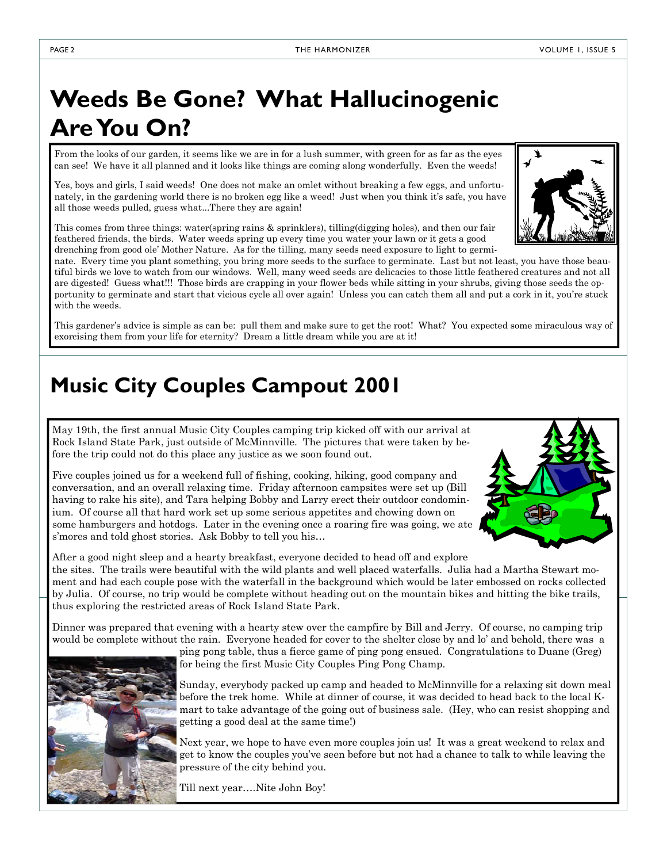# **Weeds Be Gone? What Hallucinogenic Are You On?**

From the looks of our garden, it seems like we are in for a lush summer, with green for as far as the eyes can see! We have it all planned and it looks like things are coming along wonderfully. Even the weeds!

Yes, boys and girls, I said weeds! One does not make an omlet without breaking a few eggs, and unfortunately, in the gardening world there is no broken egg like a weed! Just when you think it's safe, you have all those weeds pulled, guess what...There they are again!

This comes from three things: water(spring rains & sprinklers), tilling(digging holes), and then our fair feathered friends, the birds. Water weeds spring up every time you water your lawn or it gets a good drenching from good ole' Mother Nature. As for the tilling, many seeds need exposure to light to germi-

nate. Every time you plant something, you bring more seeds to the surface to germinate. Last but not least, you have those beautiful birds we love to watch from our windows. Well, many weed seeds are delicacies to those little feathered creatures and not all are digested! Guess what!!! Those birds are crapping in your flower beds while sitting in your shrubs, giving those seeds the opportunity to germinate and start that vicious cycle all over again! Unless you can catch them all and put a cork in it, you're stuck with the weeds.

This gardener's advice is simple as can be: pull them and make sure to get the root! What? You expected some miraculous way of exorcising them from your life for eternity? Dream a little dream while you are at it!

## **Music City Couples Campout 2001**

May 19th, the first annual Music City Couples camping trip kicked off with our arrival at Rock Island State Park, just outside of McMinnville. The pictures that were taken by before the trip could not do this place any justice as we soon found out.

Five couples joined us for a weekend full of fishing, cooking, hiking, good company and conversation, and an overall relaxing time. Friday afternoon campsites were set up (Bill having to rake his site), and Tara helping Bobby and Larry erect their outdoor condominium. Of course all that hard work set up some serious appetites and chowing down on some hamburgers and hotdogs. Later in the evening once a roaring fire was going, we ate s' mores and told ghost stories. Ask Bobby to tell you his...

After a good night sleep and a hearty breakfast, everyone decided to head off and explore the sites. The trails were beautiful with the wild plants and well placed waterfalls. Julia had a Martha Stewart moment and had each couple pose with the waterfall in the background which would be later embossed on rocks collected by Julia. Of course, no trip would be complete without heading out on the mountain bikes and hitting the bike trails, thus exploring the restricted areas of Rock Island State Park.

Dinner was prepared that evening with a hearty stew over the campfire by Bill and Jerry. Of course, no camping trip would be complete without the rain. Everyone headed for cover to the shelter close by and lo' and behold, there was a

ping pong table, thus a fierce game of ping pong ensued. Congratulations to Duane (Greg) for being the first Music City Couples Ping Pong Champ.

Sunday, everybody packed up camp and headed to McMinnville for a relaxing sit down meal before the trek home. While at dinner of course, it was decided to head back to the local Kmart to take advantage of the going out of business sale. (Hey, who can resist shopping and getting a good deal at the same time!)

Next year, we hope to have even more couples join us! It was a great weekend to relax and get to know the couples you've seen before but not had a chance to talk to while leaving the pressure of the city behind you.

Till next year….Nite John Boy!





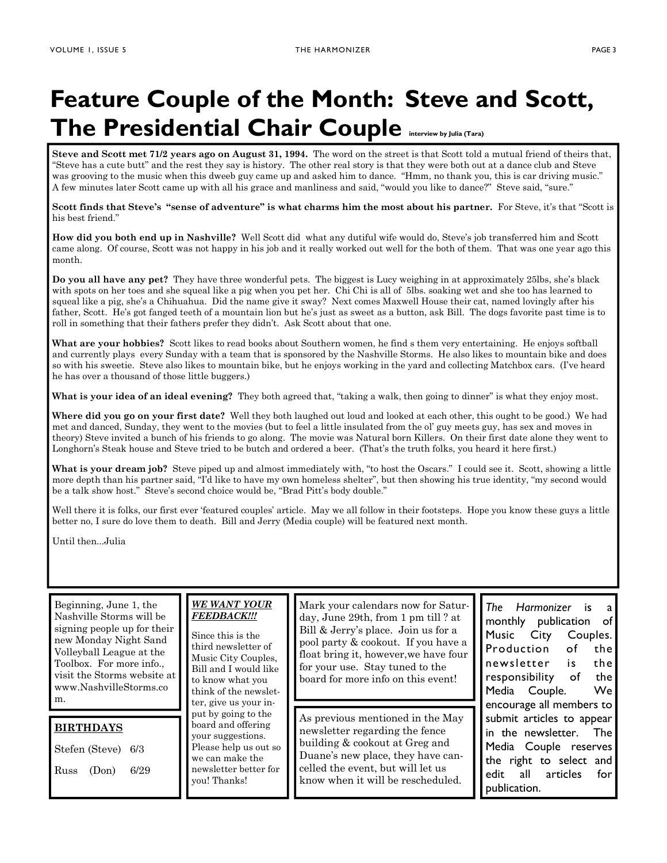# **Feature Couple of the Month: Steve and Scott, The Presidential Chair Couple interview by Julia (Tara)**

**Steve and Scott met 71/2 years ago on August 31, 1994.** The word on the street is that Scott told a mutual friend of theirs that, "Steve has a cute butt" and the rest they say is history. The other real story is that they were both out at a dance club and Steve was grooving to the music when this dweeb guy came up and asked him to dance. "Hmm, no thank you, this is car driving music." A few minutes later Scott came up with all his grace and manliness and said, "would you like to dance?" Steve said, "sure."

**Scott finds that Steve's "sense of adventure" is what charms him the most about his partner.** For Steve, it's that "Scott is his best friend."

**How did you both end up in Nashville?** Well Scott did what any dutiful wife would do, Steve's job transferred him and Scott came along. Of course, Scott was not happy in his job and it really worked out well for the both of them. That was one year ago this month.

**Do you all have any pet?** They have three wonderful pets. The biggest is Lucy weighing in at approximately 25lbs, she's black with spots on her toes and she squeal like a pig when you pet her. Chi Chi is all of 5lbs. soaking wet and she too has learned to squeal like a pig, she's a Chihuahua. Did the name give it sway? Next comes Maxwell House their cat, named lovingly after his father, Scott. He's got fanged teeth of a mountain lion but he's just as sweet as a button, ask Bill. The dogs favorite past time is to roll in something that their fathers prefer they didn't. Ask Scott about that one.

**What are your hobbies?** Scott likes to read books about Southern women, he find s them very entertaining. He enjoys softball and currently plays every Sunday with a team that is sponsored by the Nashville Storms. He also likes to mountain bike and does so with his sweetie. Steve also likes to mountain bike, but he enjoys working in the yard and collecting Matchbox cars. (I've heard he has over a thousand of those little buggers.)

**What is your idea of an ideal evening?** They both agreed that, "taking a walk, then going to dinner" is what they enjoy most.

**Where did you go on your first date?** Well they both laughed out loud and looked at each other, this ought to be good.) We had met and danced, Sunday, they went to the movies (but to feel a little insulated from the ol' guy meets guy, has sex and moves in theory) Steve invited a bunch of his friends to go along. The movie was Natural born Killers. On their first date alone they went to Longhorn's Steak house and Steve tried to be butch and ordered a beer. (That's the truth folks, you heard it here first.)

What is your dream job? Steve piped up and almost immediately with, "to host the Oscars." I could see it. Scott, showing a little more depth than his partner said, "I'd like to have my own homeless shelter", but then showing his true identity, "my second would be a talk show host." Steve's second choice would be, "Brad Pitt's body double."

Well there it is folks, our first ever 'featured couples' article. May we all follow in their footsteps. Hope you know these guys a little better no, I sure do love them to death. Bill and Jerry (Media couple) will be featured next month.

Until then...Julia

| Beginning, June 1, the<br>Nashville Storms will be<br>signing people up for their<br>new Monday Night Sand<br>Volleyball League at the<br>Toolbox. For more info<br>visit the Storms website at<br>www.NashvilleStorms.co<br>m. | WE WANT YOUR<br><b>FEEDBACK!!!</b><br>Since this is the<br>third newsletter of<br>Music City Couples,<br>Bill and I would like<br>to know what you<br>think of the newslet-<br>ter, give us your in- | Mar<br>day,<br>Bill<br>pool<br>float<br>for y<br>boar |  |
|---------------------------------------------------------------------------------------------------------------------------------------------------------------------------------------------------------------------------------|------------------------------------------------------------------------------------------------------------------------------------------------------------------------------------------------------|-------------------------------------------------------|--|
|                                                                                                                                                                                                                                 | put by going to the                                                                                                                                                                                  | As p                                                  |  |
| <b>BIRTHDAYS</b><br>Stefen (Steve)<br>6/3<br>6/29<br>Russ<br>(Don)                                                                                                                                                              | board and offering<br>your suggestions.<br>Please help us out so<br>we can make the<br>newsletter better for<br>you! Thanks!                                                                         | new<br>buil<br>Dua<br>celle<br>kno                    |  |

k your calendars now for Satur-June 29th, from 1 pm till ? at & Jerry's place. Join us for a party & cookout. If you have a t bring it, however, we have four our use. Stay tuned to the d for more info on this event!

previous mentioned in the May sletter regarding the fence ding & cookout at Greg and ne's new place, they have caned the event, but will let us know when it will be rescheduled.

*The Harmonizer* is a monthly publication of Music City Couples. Production of the newsletter is the responsibility of the Media Couple. We encourage all members to submit articles to appear in the newsletter. The Media Couple reserves the right to select and edit all articles for publication.